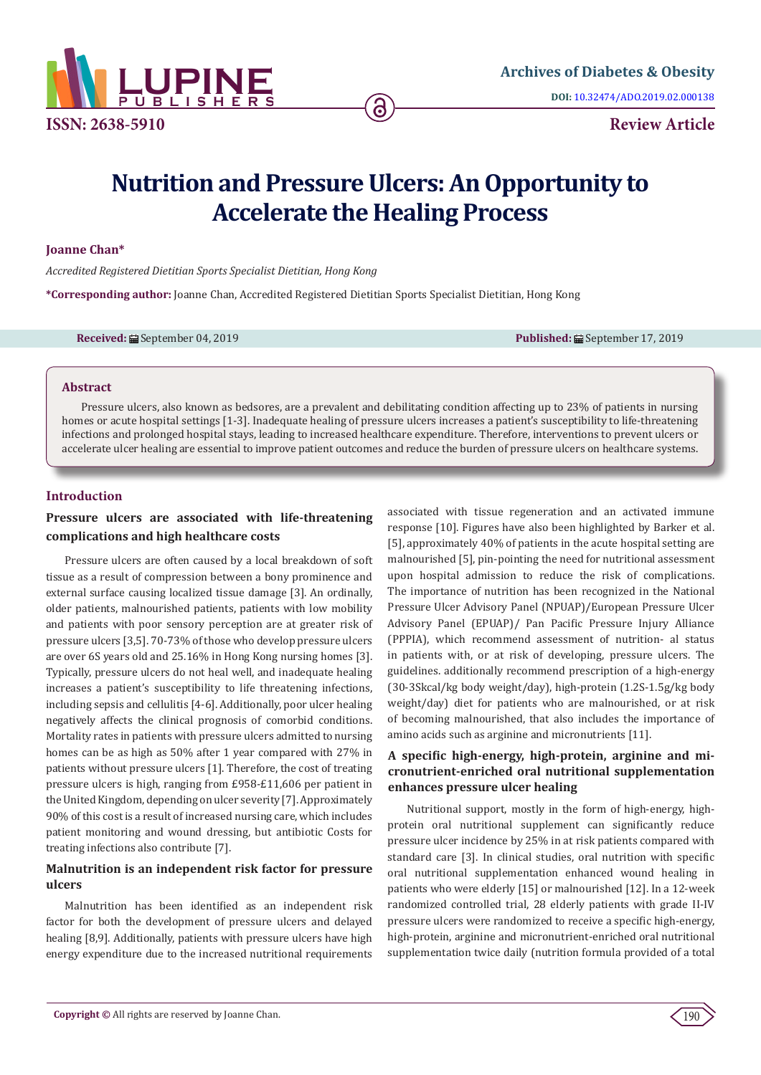

# **Nutrition and Pressure Ulcers: An Opportunity to Accelerate the Healing Process**

## **Joanne Chan\***

*Accredited Registered Dietitian Sports Specialist Dietitian, Hong Kong*

**\*Corresponding author:** Joanne Chan, Accredited Registered Dietitian Sports Specialist Dietitian, Hong Kong

**Received:** ■ September 04, 2019 **Published:** ■ September 17, 2019

## **Abstract**

Pressure ulcers, also known as bedsores, are a prevalent and debilitating condition affecting up to 23% of patients in nursing homes or acute hospital settings [1-3]. Inadequate healing of pressure ulcers increases a patient's susceptibility to life-threatening infections and prolonged hospital stays, leading to increased healthcare expenditure. Therefore, interventions to prevent ulcers or accelerate ulcer healing are essential to improve patient outcomes and reduce the burden of pressure ulcers on healthcare systems.

## **Introduction**

# **Pressure ulcers are associated with life-threatening complications and high healthcare costs**

Pressure ulcers are often caused by a local breakdown of soft tissue as a result of compression between a bony prominence and external surface causing localized tissue damage [3]. An ordinally, older patients, malnourished patients, patients with low mobility and patients with poor sensory perception are at greater risk of pressure ulcers [3,5]. 70-73% of those who develop pressure ulcers are over 6S years old and 25.16% in Hong Kong nursing homes [3]. Typically, pressure ulcers do not heal well, and inadequate healing increases a patient's susceptibility to life threatening infections, including sepsis and cellulitis [4-6]. Additionally, poor ulcer healing negatively affects the clinical prognosis of comorbid conditions. Mortality rates in patients with pressure ulcers admitted to nursing homes can be as high as 50% after 1 year compared with 27% in patients without pressure ulcers [1]. Therefore, the cost of treating pressure ulcers is high, ranging from £958-£11,606 per patient in the United Kingdom, depending on ulcer severity [7]. Approximately 90% of this cost is a result of increased nursing care, which includes patient monitoring and wound dressing, but antibiotic Costs for treating infections also contribute [7].

# **Malnutrition is an independent risk factor for pressure ulcers**

Malnutrition has been identified as an independent risk factor for both the development of pressure ulcers and delayed healing [8,9]. Additionally, patients with pressure ulcers have high energy expenditure due to the increased nutritional requirements

associated with tissue regeneration and an activated immune response [10]. Figures have also been highlighted by Barker et al. [5], approximately 40% of patients in the acute hospital setting are malnourished [5], pin-pointing the need for nutritional assessment upon hospital admission to reduce the risk of complications. The importance of nutrition has been recognized in the National Pressure Ulcer Advisory Panel (NPUAP)/European Pressure Ulcer Advisory Panel (EPUAP)/ Pan Pacific Pressure Injury Alliance (PPPIA), which recommend assessment of nutrition- al status in patients with, or at risk of developing, pressure ulcers. The guidelines. additionally recommend prescription of a high-energy (30-3Skcal/kg body weight/day), high-protein (1.2S-1.5g/kg body weight/day) diet for patients who are malnourished, or at risk of becoming malnourished, that also includes the importance of amino acids such as arginine and micronutrients [11].

# **A specific high-energy, high-protein, arginine and micronutrient-enriched oral nutritional supplementation enhances pressure ulcer healing**

Nutritional support, mostly in the form of high-energy, highprotein oral nutritional supplement can significantly reduce pressure ulcer incidence by 25% in at risk patients compared with standard care [3]. In clinical studies, oral nutrition with specific oral nutritional supplementation enhanced wound healing in patients who were elderly [15] or malnourished [12]. In a 12-week randomized controlled trial, 28 elderly patients with grade II-IV pressure ulcers were randomized to receive a specific high-energy, high-protein, arginine and micronutrient-enriched oral nutritional supplementation twice daily (nutrition formula provided of a total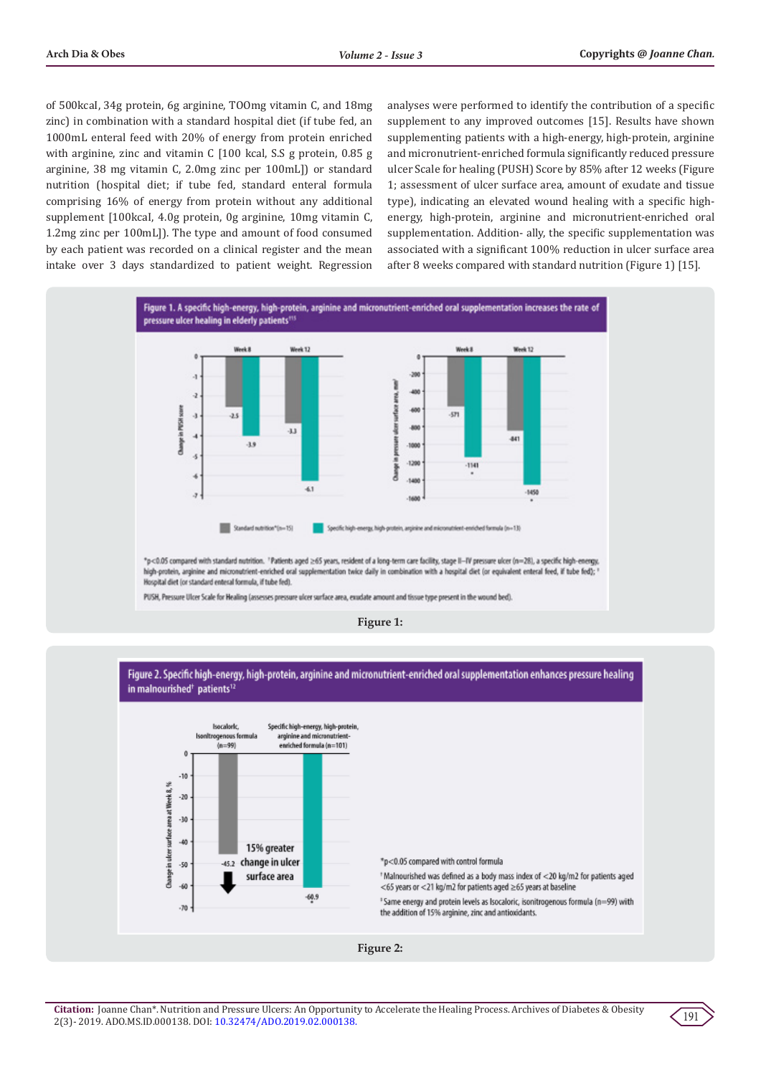of 500kcaI, 34g protein, 6g arginine, TOOmg vitamin C, and 18mg zinc) in combination with a standard hospital diet (if tube fed, an 1000mL enteral feed with 20% of energy from protein enriched with arginine, zinc and vitamin C [100 kcal, S.S g protein, 0.85 g arginine, 38 mg vitamin C, 2.0mg zinc per 100mL]) or standard nutrition (hospital diet; if tube fed, standard enteral formula comprising 16% of energy from protein without any additional supplement [100kcaI, 4.0g protein, 0g arginine, 10mg vitamin C, 1.2mg zinc per 100mL]). The type and amount of food consumed by each patient was recorded on a clinical register and the mean intake over 3 days standardized to patient weight. Regression

analyses were performed to identify the contribution of a specific supplement to any improved outcomes [15]. Results have shown supplementing patients with a high-energy, high-protein, arginine and micronutrient-enriched formula significantly reduced pressure ulcer Scale for healing (PUSH) Score by 85% after 12 weeks (Figure 1; assessment of ulcer surface area, amount of exudate and tissue type), indicating an elevated wound healing with a specific highenergy, high-protein, arginine and micronutrient-enriched oral supplementation. Addition- ally, the specific supplementation was associated with a significant 100% reduction in ulcer surface area after 8 weeks compared with standard nutrition (Figure 1) [15].





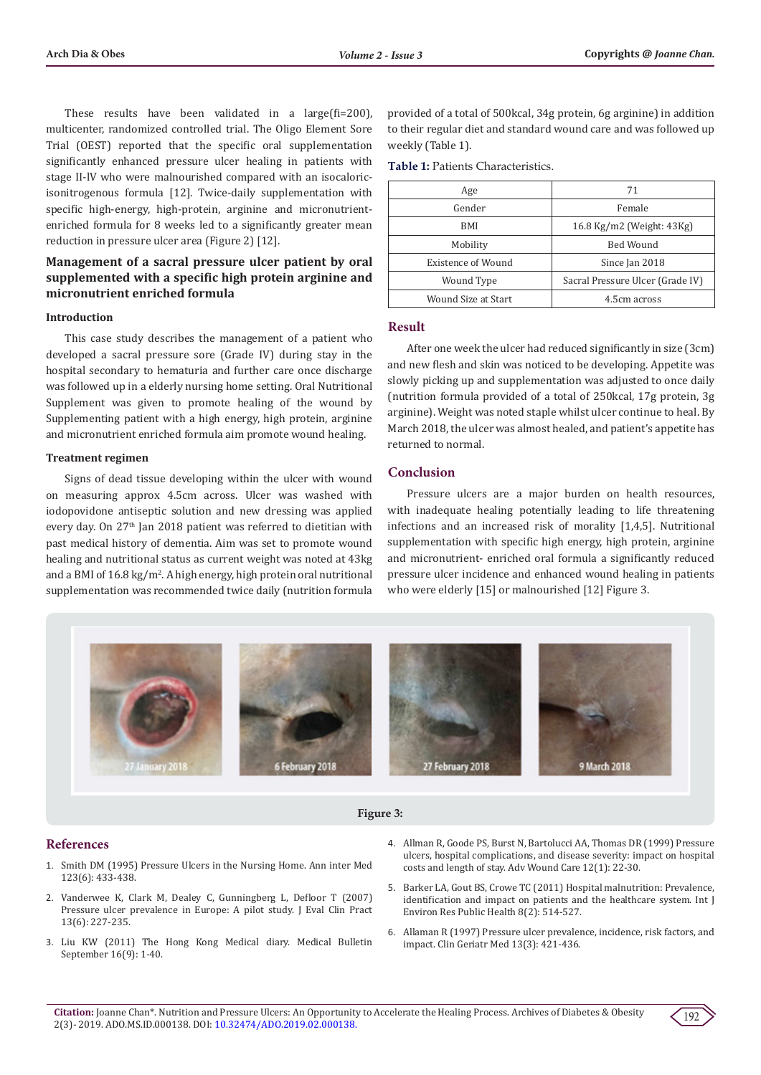These results have been validated in a large(fi=200), multicenter, randomized controlled trial. The Oligo Element Sore Trial (OEST) reported that the specific oral supplementation significantly enhanced pressure ulcer healing in patients with stage II-lV who were malnourished compared with an isocaloricisonitrogenous formula [12]. Twice-daily supplementation with specific high-energy, high-protein, arginine and micronutrientenriched formula for 8 weeks led to a significantly greater mean reduction in pressure ulcer area (Figure 2) [12].

# **Management of a sacral pressure ulcer patient by oral supplemented with a specific high protein arginine and micronutrient enriched formula**

#### **Introduction**

This case study describes the management of a patient who developed a sacral pressure sore (Grade IV) during stay in the hospital secondary to hematuria and further care once discharge was followed up in a elderly nursing home setting. Oral Nutritional Supplement was given to promote healing of the wound by Supplementing patient with a high energy, high protein, arginine and micronutrient enriched formula aim promote wound healing.

#### **Treatment regimen**

Signs of dead tissue developing within the ulcer with wound on measuring approx 4.5cm across. Ulcer was washed with iodopovidone antiseptic solution and new dressing was applied every day. On 27<sup>th</sup> Jan 2018 patient was referred to dietitian with past medical history of dementia. Aim was set to promote wound healing and nutritional status as current weight was noted at 43kg and a BMI of 16.8 kg/m<sup>2</sup> . A high energy, high protein oral nutritional supplementation was recommended twice daily (nutrition formula

provided of a total of 500kcal, 34g protein, 6g arginine) in addition to their regular diet and standard wound care and was followed up weekly (Table 1).

**Table 1:** Patients Characteristics.

| Age                 | 71                               |
|---------------------|----------------------------------|
| Gender              | Female                           |
| BMI                 | 16.8 Kg/m2 (Weight: 43Kg)        |
| Mobility            | Bed Wound                        |
| Existence of Wound  | Since Jan 2018                   |
| Wound Type          | Sacral Pressure Ulcer (Grade IV) |
| Wound Size at Start | 4.5cm across                     |

## **Result**

After one week the ulcer had reduced significantly in size (3cm) and new flesh and skin was noticed to be developing. Appetite was slowly picking up and supplementation was adjusted to once daily (nutrition formula provided of a total of 250kcal, 17g protein, 3g arginine). Weight was noted staple whilst ulcer continue to heal. By March 2018, the ulcer was almost healed, and patient's appetite has returned to normal.

# **Conclusion**

Pressure ulcers are a major burden on health resources, with inadequate healing potentially leading to life threatening infections and an increased risk of morality [1,4,5]. Nutritional supplementation with specific high energy, high protein, arginine and micronutrient- enriched oral formula a significantly reduced pressure ulcer incidence and enhanced wound healing in patients who were elderly [15] or malnourished [12] Figure 3.





### **References**

- 1. [Smith DM \(1995\) Pressure Ulcers in the Nursing Home. Ann inter Med](https://annals.org/aim/article-abstract/708996/pressure-ulcers-nursing-home)  [123\(6\): 433-438.](https://annals.org/aim/article-abstract/708996/pressure-ulcers-nursing-home)
- 2. [Vanderwee K, Clark M, Dealey C, Gunningberg L, Defloor T \(2007\)](https://www.ncbi.nlm.nih.gov/pubmed/17378869)  [Pressure ulcer prevalence in Europe: A pilot study. J Eval Clin Pract](https://www.ncbi.nlm.nih.gov/pubmed/17378869)  [13\(6\): 227-235.](https://www.ncbi.nlm.nih.gov/pubmed/17378869)
- 3. Liu KW (2011) The Hong Kong Medical diary. Medical Bulletin September 16(9): 1-40.
- 4. [Allman R, Goode PS, Burst N, Bartolucci AA, Thomas DR \(1999\) Pressure](https://www.ncbi.nlm.nih.gov/pubmed/10326353) [ulcers, hospital complications, and disease severity: impact on hospital](https://www.ncbi.nlm.nih.gov/pubmed/10326353) [costs and length of stay. Adv Wound Care 12\(1\): 22-30.](https://www.ncbi.nlm.nih.gov/pubmed/10326353)
- 5. [Barker LA, Gout BS, Crowe TC \(2011\) Hospital malnutrition: Prevalence,](https://www.ncbi.nlm.nih.gov/pubmed/21556200) [identification and impact on patients and the healthcare system. Int J](https://www.ncbi.nlm.nih.gov/pubmed/21556200) [Environ Res Public Health 8\(2\): 514-527.](https://www.ncbi.nlm.nih.gov/pubmed/21556200)
- 6. [Allaman R \(1997\) Pressure ulcer prevalence, incidence, risk factors, and](https://www.ncbi.nlm.nih.gov/pubmed/9227937) [impact. Clin Geriatr Med 13\(3\): 421-436.](https://www.ncbi.nlm.nih.gov/pubmed/9227937)